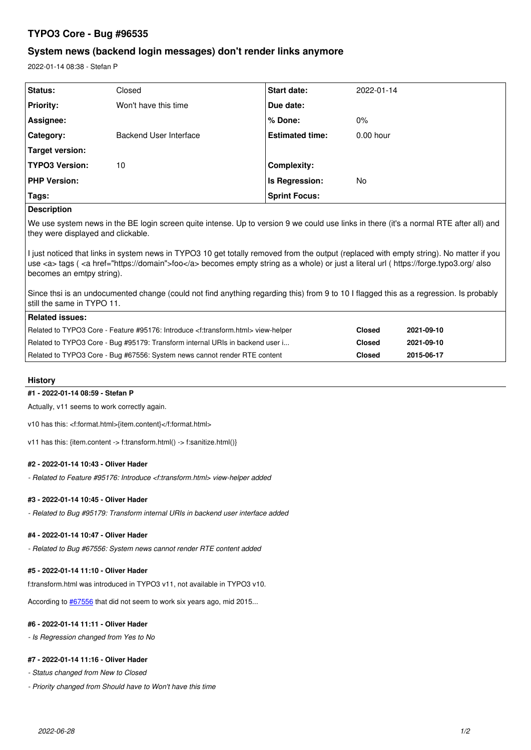# **TYPO3 Core - Bug #96535**

# **System news (backend login messages) don't render links anymore**

2022-01-14 08:38 - Stefan P

| <b>Status:</b>        | Closed                 | <b>Start date:</b>     | 2022-01-14  |
|-----------------------|------------------------|------------------------|-------------|
| <b>Priority:</b>      | Won't have this time   | Due date:              |             |
| Assignee:             |                        | % Done:                | $0\%$       |
| Category:             | Backend User Interface | <b>Estimated time:</b> | $0.00$ hour |
| Target version:       |                        |                        |             |
| <b>TYPO3 Version:</b> | 10                     | Complexity:            |             |
| <b>PHP Version:</b>   |                        | Is Regression:         | No          |
| Tags:                 |                        | <b>Sprint Focus:</b>   |             |

## **Description**

We use system news in the BE login screen quite intense. Up to version 9 we could use links in there (it's a normal RTE after all) and they were displayed and clickable.

I just noticed that links in system news in TYPO3 10 get totally removed from the output (replaced with empty string). No matter if you use <a> tags ( <a href="https://domain">foo</a> becomes empty string as a whole) or just a literal url ( https://forge.typo3.org/ also becomes an emtpy string).

Since thsi is an undocumented change (could not find anything regarding this) from 9 to 10 I flagged this as a regression. Is probably still the same in TYPO 11.

| <b>Related issues:</b>                                                                              |               |            |
|-----------------------------------------------------------------------------------------------------|---------------|------------|
| Related to TYPO3 Core - Feature #95176: Introduce <f:transform.html> view-helper</f:transform.html> | <b>Closed</b> | 2021-09-10 |
| Related to TYPO3 Core - Bug #95179: Transform internal URIs in backend user i                       | Closed        | 2021-09-10 |
| Related to TYPO3 Core - Bug #67556: System news cannot render RTE content                           | Closed        | 2015-06-17 |

## **History**

### **#1 - 2022-01-14 08:59 - Stefan P**

Actually, v11 seems to work correctly again.

v10 has this: <f:format.html>{item.content}</f:format.html>

v11 has this: {item.content -> f:transform.html() -> f:sanitize.html()}

#### **#2 - 2022-01-14 10:43 - Oliver Hader**

*- Related to Feature #95176: Introduce <f:transform.html> view-helper added*

#### **#3 - 2022-01-14 10:45 - Oliver Hader**

*- Related to Bug #95179: Transform internal URIs in backend user interface added*

#### **#4 - 2022-01-14 10:47 - Oliver Hader**

*- Related to Bug #67556: System news cannot render RTE content added*

## **#5 - 2022-01-14 11:10 - Oliver Hader**

f:transform.html was introduced in TYPO3 v11, not available in TYPO3 v10.

According to  $\frac{\text{\#}67556}{\text{\#}67556}$  that did not seem to work six years ago, mid 2015...

### **#6 - 2022-01-14 11:11 - Oliver Hader**

*- Is Regression changed from Yes to No*

## **#7 - 2022-01-14 11:16 - Oliver Hader**

*- Status changed from New to Closed*

*- Priority changed from Should have to Won't have this time*